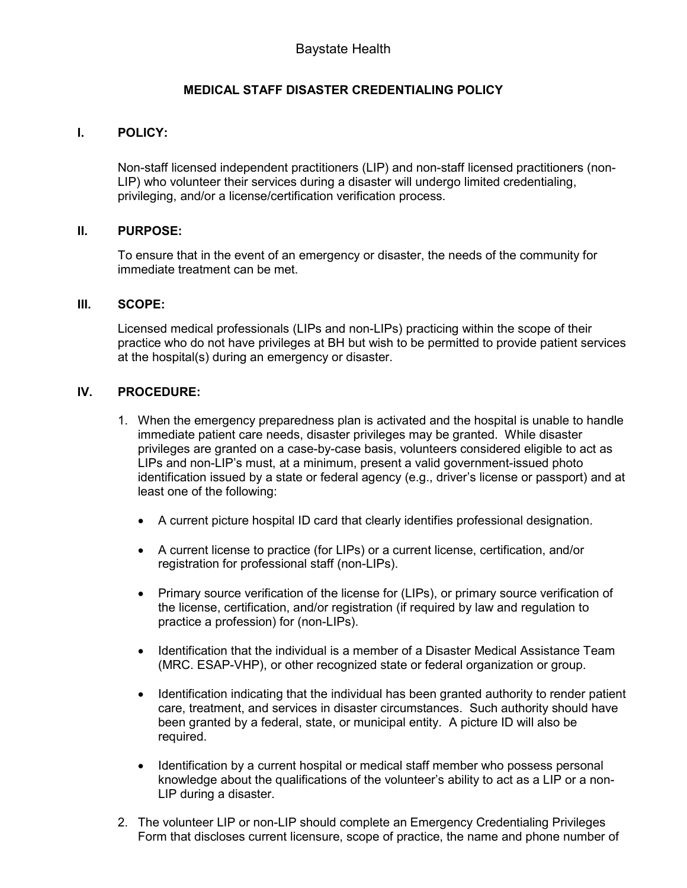# **MEDICAL STAFF DISASTER CREDENTIALING POLICY**

## **I. POLICY:**

Non-staff licensed independent practitioners (LIP) and non-staff licensed practitioners (non-LIP) who volunteer their services during a disaster will undergo limited credentialing, privileging, and/or a license/certification verification process.

#### **II. PURPOSE:**

To ensure that in the event of an emergency or disaster, the needs of the community for immediate treatment can be met.

#### **III. SCOPE:**

Licensed medical professionals (LIPs and non-LIPs) practicing within the scope of their practice who do not have privileges at BH but wish to be permitted to provide patient services at the hospital(s) during an emergency or disaster.

### **IV. PROCEDURE:**

- 1. When the emergency preparedness plan is activated and the hospital is unable to handle immediate patient care needs, disaster privileges may be granted. While disaster privileges are granted on a case-by-case basis, volunteers considered eligible to act as LIPs and non-LIP's must, at a minimum, present a valid government-issued photo identification issued by a state or federal agency (e.g., driver's license or passport) and at least one of the following:
	- A current picture hospital ID card that clearly identifies professional designation.
	- A current license to practice (for LIPs) or a current license, certification, and/or registration for professional staff (non-LIPs).
	- Primary source verification of the license for (LIPs), or primary source verification of the license, certification, and/or registration (if required by law and regulation to practice a profession) for (non-LIPs).
	- Identification that the individual is a member of a Disaster Medical Assistance Team (MRC. ESAP-VHP), or other recognized state or federal organization or group.
	- Identification indicating that the individual has been granted authority to render patient care, treatment, and services in disaster circumstances. Such authority should have been granted by a federal, state, or municipal entity. A picture ID will also be required.
	- Identification by a current hospital or medical staff member who possess personal knowledge about the qualifications of the volunteer's ability to act as a LIP or a non-LIP during a disaster.
- 2. The volunteer LIP or non-LIP should complete an Emergency Credentialing Privileges Form that discloses current licensure, scope of practice, the name and phone number of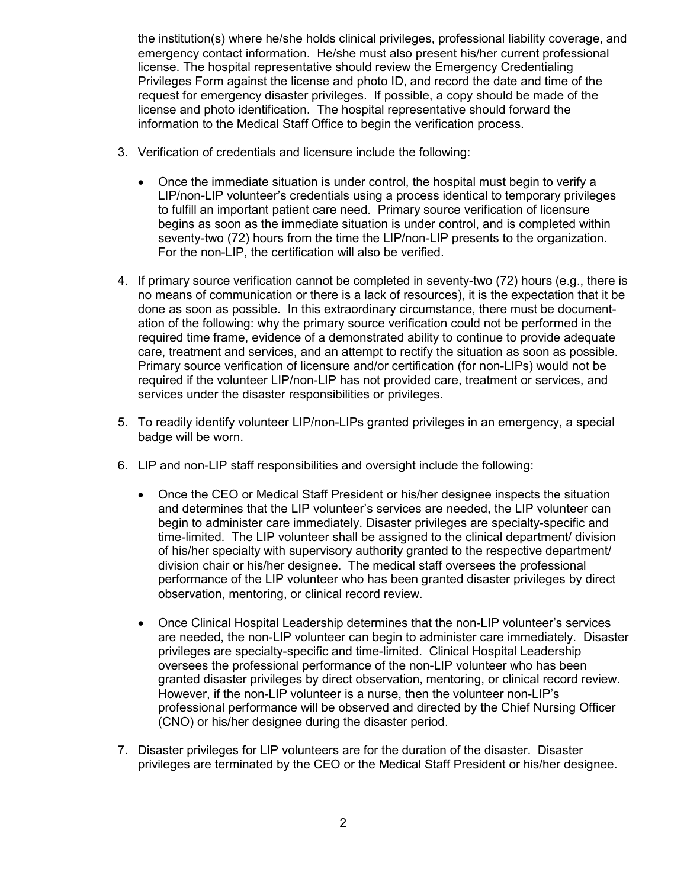the institution(s) where he/she holds clinical privileges, professional liability coverage, and emergency contact information. He/she must also present his/her current professional license. The hospital representative should review the Emergency Credentialing Privileges Form against the license and photo ID, and record the date and time of the request for emergency disaster privileges. If possible, a copy should be made of the license and photo identification. The hospital representative should forward the information to the Medical Staff Office to begin the verification process.

- 3. Verification of credentials and licensure include the following:
	- Once the immediate situation is under control, the hospital must begin to verify a LIP/non-LIP volunteer's credentials using a process identical to temporary privileges to fulfill an important patient care need. Primary source verification of licensure begins as soon as the immediate situation is under control, and is completed within seventy-two (72) hours from the time the LIP/non-LIP presents to the organization. For the non-LIP, the certification will also be verified.
- 4. If primary source verification cannot be completed in seventy-two (72) hours (e.g., there is no means of communication or there is a lack of resources), it is the expectation that it be done as soon as possible. In this extraordinary circumstance, there must be documentation of the following: why the primary source verification could not be performed in the required time frame, evidence of a demonstrated ability to continue to provide adequate care, treatment and services, and an attempt to rectify the situation as soon as possible. Primary source verification of licensure and/or certification (for non-LIPs) would not be required if the volunteer LIP/non-LIP has not provided care, treatment or services, and services under the disaster responsibilities or privileges.
- 5. To readily identify volunteer LIP/non-LIPs granted privileges in an emergency, a special badge will be worn.
- 6. LIP and non-LIP staff responsibilities and oversight include the following:
	- Once the CEO or Medical Staff President or his/her designee inspects the situation and determines that the LIP volunteer's services are needed, the LIP volunteer can begin to administer care immediately. Disaster privileges are specialty-specific and time-limited. The LIP volunteer shall be assigned to the clinical department/ division of his/her specialty with supervisory authority granted to the respective department/ division chair or his/her designee. The medical staff oversees the professional performance of the LIP volunteer who has been granted disaster privileges by direct observation, mentoring, or clinical record review.
	- Once Clinical Hospital Leadership determines that the non-LIP volunteer's services are needed, the non-LIP volunteer can begin to administer care immediately. Disaster privileges are specialty-specific and time-limited. Clinical Hospital Leadership oversees the professional performance of the non-LIP volunteer who has been granted disaster privileges by direct observation, mentoring, or clinical record review. However, if the non-LIP volunteer is a nurse, then the volunteer non-LIP's professional performance will be observed and directed by the Chief Nursing Officer (CNO) or his/her designee during the disaster period.
- 7. Disaster privileges for LIP volunteers are for the duration of the disaster. Disaster privileges are terminated by the CEO or the Medical Staff President or his/her designee.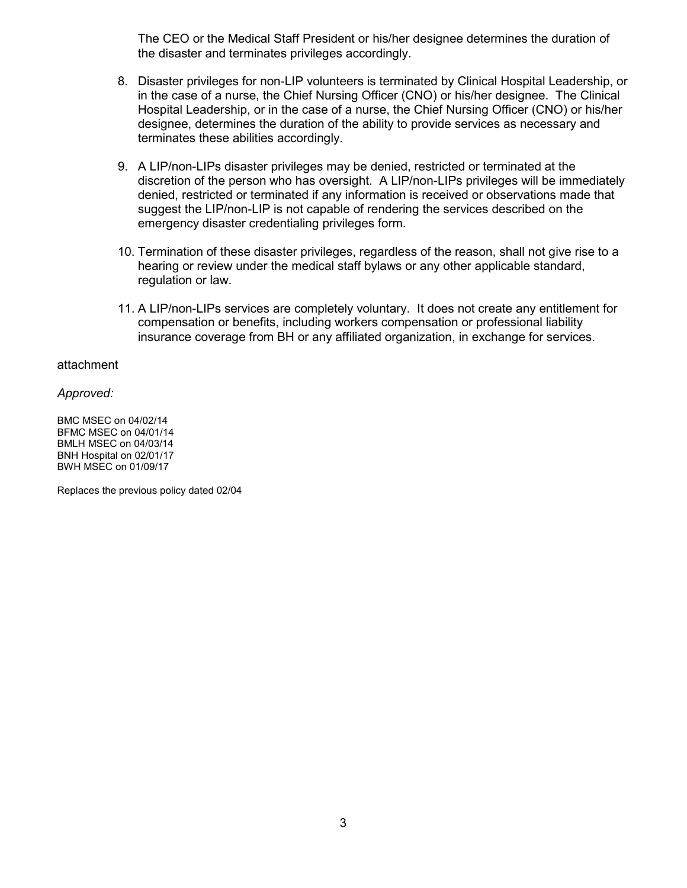The CEO or the Medical Staff President or his/her designee determines the duration of the disaster and terminates privileges accordingly.

- 8. Disaster privileges for non-LIP volunteers is terminated by Clinical Hospital Leadership, or in the case of a nurse, the Chief Nursing Officer (CNO) or his/her designee. The Clinical Hospital Leadership, or in the case of a nurse, the Chief Nursing Officer (CNO) or his/her designee, determines the duration of the ability to provide services as necessary and terminates these abilities accordingly.
- 9. A LIP/non-LIPs disaster privileges may be denied, restricted or terminated at the discretion of the person who has oversight. A LIP/non-LIPs privileges will be immediately denied, restricted or terminated if any information is received or observations made that suggest the LIP/non-LIP is not capable of rendering the services described on the emergency disaster credentialing privileges form.
- 10. Termination of these disaster privileges, regardless of the reason, shall not give rise to a hearing or review under the medical staff bylaws or any other applicable standard, regulation or law.
- 11. A LIP/non-LIPs services are completely voluntary. It does not create any entitlement for compensation or benefits, including workers compensation or professional liability insurance coverage from BH or any affiliated organization, in exchange for services.

#### attachment

*Approved:* 

BMC MSEC on 04/02/14 BFMC MSEC on 04/01/14 BMLH MSEC on 04/03/14 BNH Hospital on 02/01/17 BWH MSEC on 01/09/17

Replaces the previous policy dated 02/04